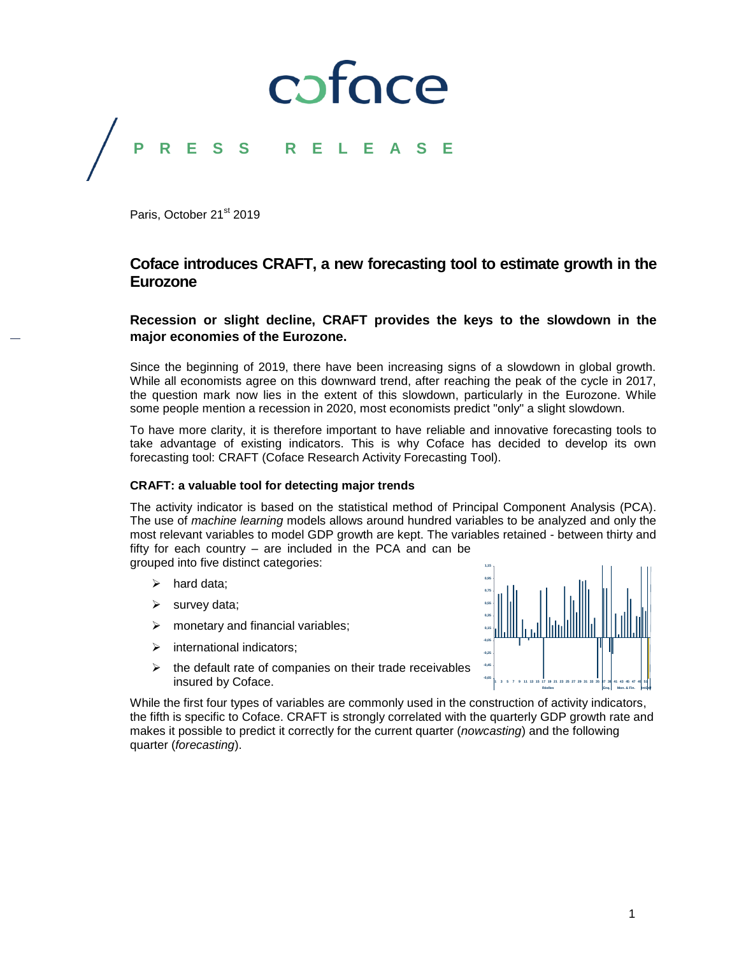## coface **P R E S S R E L E A S E**

Paris, October 21<sup>st</sup> 2019

#### **Coface introduces CRAFT, a new forecasting tool to estimate growth in the Eurozone**

#### **Recession or slight decline, CRAFT provides the keys to the slowdown in the major economies of the Eurozone.**

Since the beginning of 2019, there have been increasing signs of a slowdown in global growth. While all economists agree on this downward trend, after reaching the peak of the cycle in 2017, the question mark now lies in the extent of this slowdown, particularly in the Eurozone. While some people mention a recession in 2020, most economists predict "only" a slight slowdown.

To have more clarity, it is therefore important to have reliable and innovative forecasting tools to take advantage of existing indicators. This is why Coface has decided to develop its own forecasting tool: CRAFT (Coface Research Activity Forecasting Tool).

#### **CRAFT: a valuable tool for detecting major trends**

The activity indicator is based on the statistical method of Principal Component Analysis (PCA). The use of *machine learning* models allows around hundred variables to be analyzed and only the most relevant variables to model GDP growth are kept. The variables retained - between thirty and fifty for each country – are included in the PCA and can be grouped into five distinct categories:

- $\triangleright$  hard data;
- $\triangleright$  survey data;
- $\triangleright$  monetary and financial variables;
- $\triangleright$  international indicators:
- $\triangleright$  the default rate of companies on their trade receivables insured by Coface.

While the first four types of variables are commonly used in the construction of activity indicators, the fifth is specific to Coface. CRAFT is strongly correlated with the quarterly GDP growth rate and makes it possible to predict it correctly for the current quarter (*nowcasting*) and the following quarter (*forecasting*).